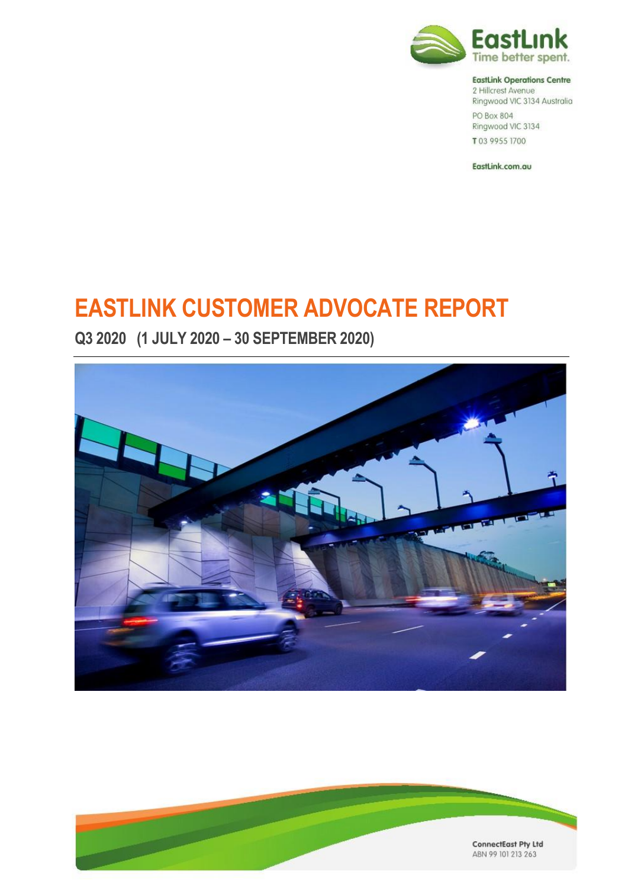

#### **EastLink Operations Centre**

2 Hillcrest Avenue Ringwood VIC 3134 Australia PO Box 804 Ringwood VIC 3134 T03 9955 1700

EastLink.com.au

# **EASTLINK CUSTOMER ADVOCATE REPORT**

**Q3 2020 (1 JULY 2020 – 30 SEPTEMBER 2020)**



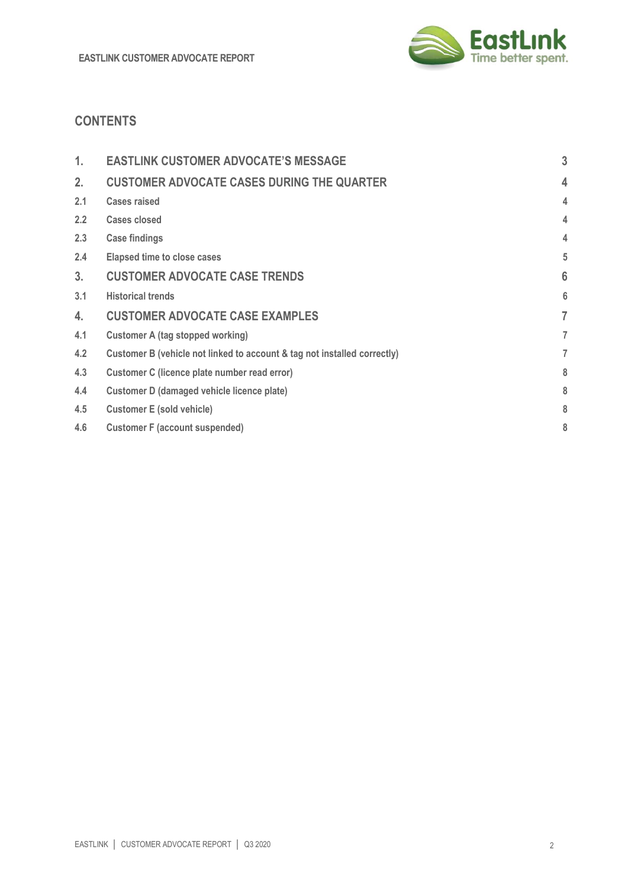

# **CONTENTS**

| 1.             | <b>EASTLINK CUSTOMER ADVOCATE'S MESSAGE</b>                              | 3 |
|----------------|--------------------------------------------------------------------------|---|
| 2 <sub>1</sub> | <b>CUSTOMER ADVOCATE CASES DURING THE QUARTER</b>                        | 4 |
| 2.1            | <b>Cases raised</b>                                                      | 4 |
| 2.2            | Cases closed                                                             | 4 |
| 2.3            | <b>Case findings</b>                                                     | 4 |
| 2.4            | <b>Elapsed time to close cases</b>                                       | 5 |
| 3 <sub>1</sub> | <b>CUSTOMER ADVOCATE CASE TRENDS</b>                                     | 6 |
| 3.1            | <b>Historical trends</b>                                                 | 6 |
| 4.             | <b>CUSTOMER ADVOCATE CASE EXAMPLES</b>                                   | 7 |
| 4.1            | Customer A (tag stopped working)                                         | 7 |
| 4.2            | Customer B (vehicle not linked to account & tag not installed correctly) | 7 |
| 4.3            | Customer C (licence plate number read error)                             | 8 |
| 4.4            | Customer D (damaged vehicle licence plate)                               | 8 |
| 4.5            | <b>Customer E (sold vehicle)</b>                                         | 8 |
| 4.6            | <b>Customer F (account suspended)</b>                                    | 8 |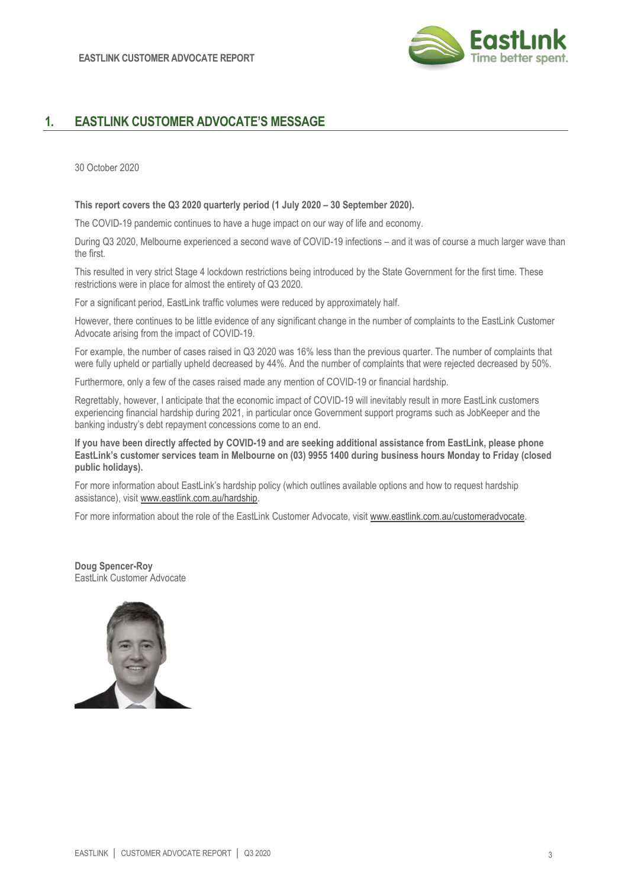

# **1. EASTLINK CUSTOMER ADVOCATE'S MESSAGE**

30 October 2020

**This report covers the Q3 2020 quarterly period (1 July 2020 – 30 September 2020).**

The COVID-19 pandemic continues to have a huge impact on our way of life and economy.

During Q3 2020, Melbourne experienced a second wave of COVID-19 infections – and it was of course a much larger wave than the first.

This resulted in very strict Stage 4 lockdown restrictions being introduced by the State Government for the first time. These restrictions were in place for almost the entirety of Q3 2020.

For a significant period, EastLink traffic volumes were reduced by approximately half.

However, there continues to be little evidence of any significant change in the number of complaints to the EastLink Customer Advocate arising from the impact of COVID-19.

For example, the number of cases raised in Q3 2020 was 16% less than the previous quarter. The number of complaints that were fully upheld or partially upheld decreased by 44%. And the number of complaints that were rejected decreased by 50%.

Furthermore, only a few of the cases raised made any mention of COVID-19 or financial hardship.

Regrettably, however, I anticipate that the economic impact of COVID-19 will inevitably result in more EastLink customers experiencing financial hardship during 2021, in particular once Government support programs such as JobKeeper and the banking industry's debt repayment concessions come to an end.

**If you have been directly affected by COVID-19 and are seeking additional assistance from EastLink, please phone EastLink's customer services team in Melbourne on (03) 9955 1400 during business hours Monday to Friday (closed public holidays).**

For more information about EastLink's hardship policy (which outlines available options and how to request hardship assistance), visit [www.eastlink.com.au/hardship.](http://www.eastlink.com.au/hardship)

For more information about the role of the EastLink Customer Advocate, visit [www.eastlink.com.au/customeradvocate.](http://www.eastlink.com.au/customeradvocate) 

**Doug Spencer-Roy** EastLink Customer Advocate

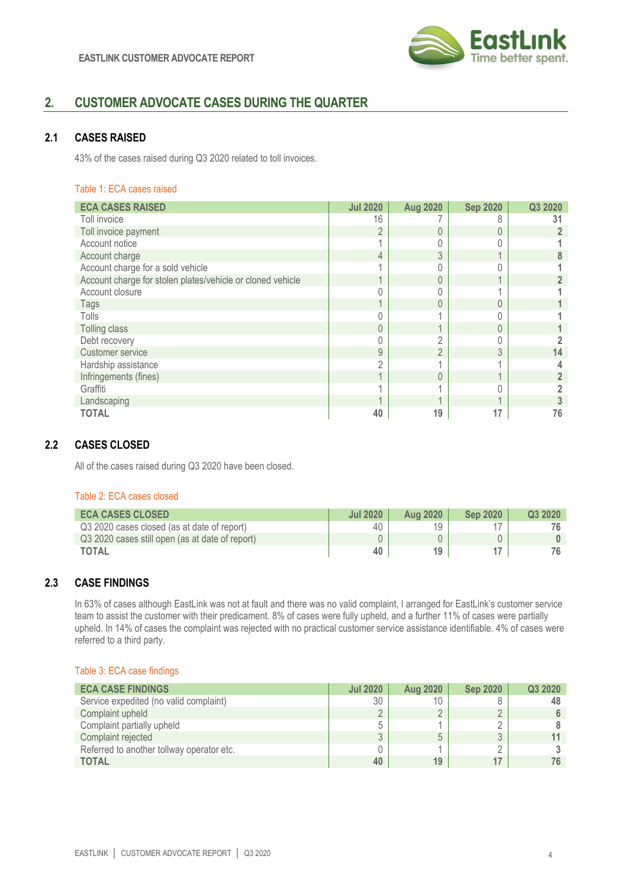

# **2. CUSTOMER ADVOCATE CASES DURING THE QUARTER**

## **2.1 CASES RAISED**

43% of the cases raised during Q3 2020 related to toll invoices.

#### Table 1: ECA cases raised

| <b>ECA CASES RAISED</b>                                    | <b>Jul 2020</b> | <b>Aug 2020</b> | <b>Sep 2020</b>          | Q3 2020 |
|------------------------------------------------------------|-----------------|-----------------|--------------------------|---------|
| Toll invoice                                               | 16              |                 | 8                        | 31      |
| Toll invoice payment                                       | $\overline{2}$  |                 | $\mathbf{0}$             |         |
| Account notice                                             |                 |                 |                          |         |
| Account charge                                             | 4               | 3               | $\overline{\phantom{a}}$ |         |
| Account charge for a sold vehicle                          |                 |                 |                          |         |
| Account charge for stolen plates/vehicle or cloned vehicle |                 |                 |                          |         |
| Account closure                                            |                 |                 |                          |         |
| Tags                                                       |                 |                 | $\Omega$                 |         |
| Tolls                                                      |                 |                 |                          |         |
| Tolling class                                              | 0               |                 | $\mathbf{0}$             |         |
| Debt recovery                                              |                 |                 |                          |         |
| Customer service                                           | 9               | $\Omega$        | 3                        | 14      |
| Hardship assistance                                        | C               |                 |                          |         |
| Infringements (fines)                                      |                 | $\Omega$        |                          |         |
| Graffiti                                                   |                 |                 |                          |         |
| Landscaping                                                |                 |                 |                          |         |
| <b>TOTAL</b>                                               | 40              | 19              | 17                       | 76      |

# **2.2 CASES CLOSED**

All of the cases raised during Q3 2020 have been closed.

#### Table 2: ECA cases closed

| <b>ECA CASES CLOSED</b>                         | <b>Jul 2020</b> | <b>Aug 2020</b> | <b>Sep 2020</b> | Q3 2020 |
|-------------------------------------------------|-----------------|-----------------|-----------------|---------|
| Q3 2020 cases closed (as at date of report)     | 40              | 19              |                 |         |
| Q3 2020 cases still open (as at date of report) |                 |                 |                 |         |
| <b>TOTAL</b>                                    | 40              | 19              |                 |         |

# **2.3 CASE FINDINGS**

In 63% of cases although EastLink was not at fault and there was no valid complaint, I arranged for EastLink's customer service team to assist the customer with their predicament. 8% of cases were fully upheld, and a further 11% of cases were partially upheld. In 14% of cases the complaint was rejected with no practical customer service assistance identifiable. 4% of cases were referred to a third party.

#### Table 3: ECA case findings

| <b>ECA CASE FINDINGS</b>                  | <b>Jul 2020</b> | <b>Aug 2020</b> | <b>Sep 2020</b> | Q3 2020 |
|-------------------------------------------|-----------------|-----------------|-----------------|---------|
| Service expedited (no valid complaint)    | 30              |                 |                 |         |
| Complaint upheld                          |                 |                 |                 |         |
| Complaint partially upheld                |                 |                 |                 |         |
| Complaint rejected                        | U               |                 |                 |         |
| Referred to another tollway operator etc. |                 |                 |                 |         |
| <b>TOTAL</b>                              | 40              | 19              |                 |         |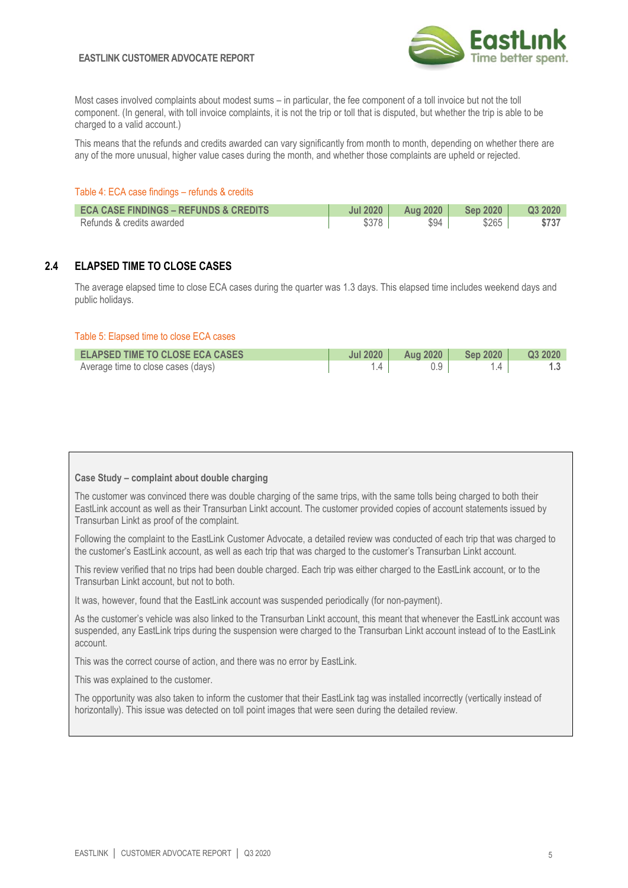#### **EASTLINK CUSTOMER ADVOCATE REPORT**



Most cases involved complaints about modest sums – in particular, the fee component of a toll invoice but not the toll component. (In general, with toll invoice complaints, it is not the trip or toll that is disputed, but whether the trip is able to be charged to a valid account.)

This means that the refunds and credits awarded can vary significantly from month to month, depending on whether there are any of the more unusual, higher value cases during the month, and whether those complaints are upheld or rejected.

#### Table 4: ECA case findings – refunds & credits

| <b>ECA CASE FINDINGS - REFUNDS &amp; CREDITS</b> | <b>Jul 2020</b> | <b>Aug 2020</b> | <b>Sep 2020</b> | Q3 2020 |
|--------------------------------------------------|-----------------|-----------------|-----------------|---------|
| Refunds & credits awarded                        |                 | \$94            | \$265           | \$737   |

## **2.4 ELAPSED TIME TO CLOSE CASES**

The average elapsed time to close ECA cases during the quarter was 1.3 days. This elapsed time includes weekend days and public holidays.

#### Table 5: Elapsed time to close ECA cases

| <b>ELAPSED TIME TO CLOSE ECA CASES</b> | Jul 2020 | Aug 2020 | Sep 2020 $\parallel$ | Q3 2020 |
|----------------------------------------|----------|----------|----------------------|---------|
| Average time to close cases (days)     |          |          |                      |         |

#### **Case Study – complaint about double charging**

The customer was convinced there was double charging of the same trips, with the same tolls being charged to both their EastLink account as well as their Transurban Linkt account. The customer provided copies of account statements issued by Transurban Linkt as proof of the complaint.

Following the complaint to the EastLink Customer Advocate, a detailed review was conducted of each trip that was charged to the customer's EastLink account, as well as each trip that was charged to the customer's Transurban Linkt account.

This review verified that no trips had been double charged. Each trip was either charged to the EastLink account, or to the Transurban Linkt account, but not to both.

It was, however, found that the EastLink account was suspended periodically (for non-payment).

As the customer's vehicle was also linked to the Transurban Linkt account, this meant that whenever the EastLink account was suspended, any EastLink trips during the suspension were charged to the Transurban Linkt account instead of to the EastLink account.

This was the correct course of action, and there was no error by EastLink.

This was explained to the customer.

The opportunity was also taken to inform the customer that their EastLink tag was installed incorrectly (vertically instead of horizontally). This issue was detected on toll point images that were seen during the detailed review.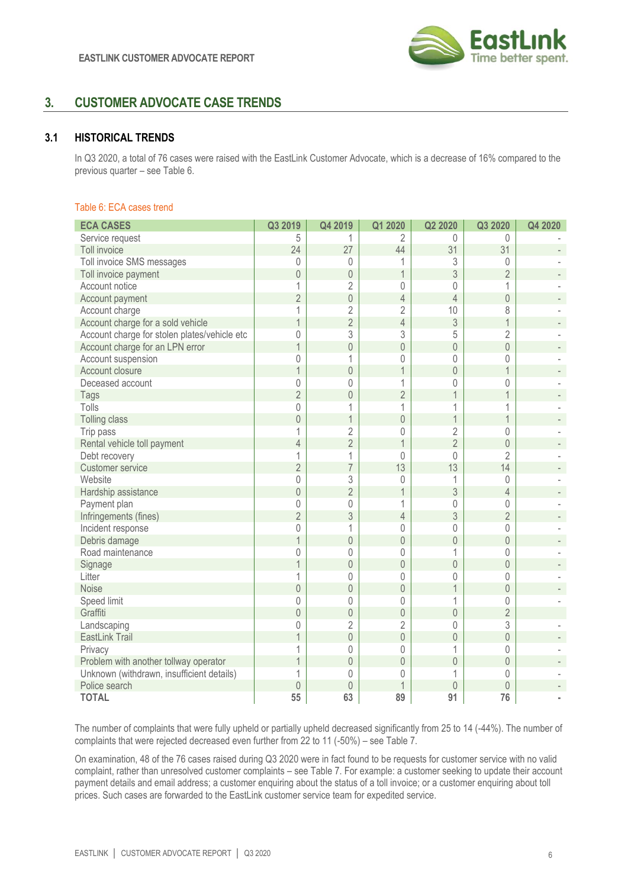

# **3. CUSTOMER ADVOCATE CASE TRENDS**

## **3.1 HISTORICAL TRENDS**

In Q3 2020, a total of 76 cases were raised with the EastLink Customer Advocate, which is a decrease of 16% compared to the previous quarter – see Table 6.

#### Table 6: ECA cases trend

| <b>ECA CASES</b>                             | Q3 2019        | Q4 2019        | Q1 2020                  | Q2 2020        | Q3 2020        | Q4 2020 |
|----------------------------------------------|----------------|----------------|--------------------------|----------------|----------------|---------|
| Service request                              | 5              | 1              | $\overline{2}$           | $\Omega$       | $\Omega$       |         |
| Toll invoice                                 | 24             | 27             | 44                       | 31             | 31             |         |
| Toll invoice SMS messages                    | $\Omega$       | 0              |                          | 3              | $\Omega$       |         |
| Toll invoice payment                         | $\sqrt{a}$     | $\mathbf{0}$   | $\mathbf 1$              | 3              | $\overline{2}$ |         |
| Account notice                               | 1              | $\overline{2}$ | $\mathbf 0$              | $\mathbf 0$    | 1              |         |
| Account payment                              | $\overline{2}$ | $\mathbf 0$    | $\overline{4}$           | $\overline{4}$ | $\overline{0}$ |         |
| Account charge                               | 1              | $\overline{2}$ | $\overline{2}$           | 10             | 8              |         |
| Account charge for a sold vehicle            | $\overline{1}$ | $\overline{2}$ | $\overline{4}$           | 3              | $\overline{1}$ |         |
| Account charge for stolen plates/vehicle etc | 0              | 3              | 3                        | 5              | $\overline{2}$ |         |
| Account charge for an LPN error              | $\overline{1}$ | $\mathbf 0$    | $\overline{0}$           | $\overline{0}$ | $\overline{0}$ |         |
| Account suspension                           | 0              | 1              | $\mathbf{0}$             | 0              | 0              |         |
| Account closure                              | $\overline{1}$ | $\mathbf 0$    | $\mathbf 1$              | $\overline{0}$ | $\mathbf{1}$   |         |
| Deceased account                             | $\theta$       | $\Omega$       | 1                        | $\mathbf{0}$   | 0              |         |
| Tags                                         | $\overline{2}$ | $\theta$       | $\overline{2}$           | $\mathbf 1$    | 1              |         |
| Tolls                                        | $\mathbf 0$    | 1              | 1                        | 1              | 1              |         |
| Tolling class                                | $\mathbf 0$    | $\overline{1}$ | $\overline{0}$           | $\overline{1}$ | $\overline{1}$ |         |
| Trip pass                                    | 1              | $\overline{2}$ | $\overline{0}$           | $\overline{2}$ | 0              |         |
| Rental vehicle toll payment                  | $\overline{4}$ | $\overline{2}$ | $\mathbf 1$              | $\overline{2}$ | $\overline{0}$ |         |
| Debt recovery                                | 1              | 1              | $\overline{0}$           | 0              | $\overline{2}$ |         |
| Customer service                             | $\overline{2}$ | $\overline{7}$ | 13                       | 13             | 14             |         |
| Website                                      | $\mathbf 0$    | 3              | $\mathbf{0}$             | 1              | $\theta$       |         |
| Hardship assistance                          | $\mathbf 0$    | $\overline{2}$ | $\overline{1}$           | 3              | $\overline{4}$ |         |
| Payment plan                                 | $\mathbf 0$    | $\mathbb O$    | 1                        | 0              | 0              |         |
| Infringements (fines)                        | $\overline{2}$ | 3              | $\overline{4}$           | 3              | $\overline{2}$ |         |
| Incident response                            | 0              | 1              | $\mathbf{0}$             | $\mathbf{0}$   | 0              |         |
| Debris damage                                | $\overline{1}$ | $\mathbf 0$    | $\overline{0}$           | $\overline{0}$ | $\theta$       |         |
| Road maintenance                             | $\theta$       | $\theta$       | $\mathbf{0}$             | 1              | $\Omega$       |         |
| Signage                                      | $\overline{1}$ | $\mathbf 0$    | $\overline{0}$           | $\overline{0}$ | $\overline{0}$ |         |
| Litter                                       | 1              | $\mathbf 0$    | 0                        | $\mathbf 0$    | $\mathbf 0$    |         |
| Noise                                        | $\mathbf 0$    | $\mathbf 0$    | $\overline{0}$           | $\overline{1}$ | $\overline{0}$ |         |
| Speed limit                                  | 0              | $\mathbf{0}$   | $\overline{0}$           | $\overline{1}$ | 0              |         |
| Graffiti                                     | $\mathbf 0$    | $\mathbf 0$    | $\mathbf 0$              | $\overline{0}$ | $\overline{2}$ |         |
| Landscaping                                  | $\mathbf 0$    | $\overline{2}$ | $\overline{2}$           | $\mathbf 0$    | 3              |         |
| EastLink Trail                               |                | $\mathbf 0$    | $\overline{0}$           | $\mathbf 0$    | $\overline{0}$ |         |
| Privacy                                      | 1              | $\mathbf 0$    | $\mathbf{0}$             | 1              | $\Omega$       |         |
| Problem with another tollway operator        | 1              | $\mathbf 0$    | $\overline{0}$           | $\overline{0}$ | $\theta$       |         |
| Unknown (withdrawn, insufficient details)    | 1              | $\theta$       | $\mathbf{0}$             | 1              | 0              |         |
| Police search                                | $\theta$       | $\theta$       | $\overline{\phantom{a}}$ | $\theta$       | $\overline{0}$ |         |
| <b>TOTAL</b>                                 | 55             | 63             | 89                       | 91             | 76             |         |

The number of complaints that were fully upheld or partially upheld decreased significantly from 25 to 14 (-44%). The number of complaints that were rejected decreased even further from 22 to 11 (-50%) – see Table 7.

On examination, 48 of the 76 cases raised during Q3 2020 were in fact found to be requests for customer service with no valid complaint, rather than unresolved customer complaints – see Table 7. For example: a customer seeking to update their account payment details and email address; a customer enquiring about the status of a toll invoice; or a customer enquiring about toll prices. Such cases are forwarded to the EastLink customer service team for expedited service.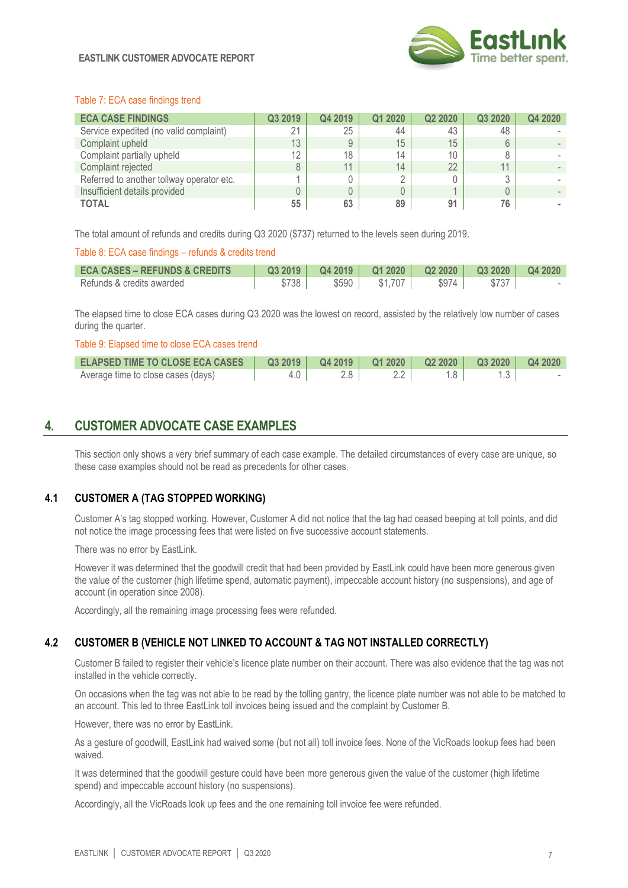

#### Table 7: ECA case findings trend

| <b>ECA CASE FINDINGS</b>                  | Q3 2019 | Q4 2019 | Q1 2020 | Q <sub>2</sub> 20 <sub>20</sub> | Q3 2020 | Q4 2020 |
|-------------------------------------------|---------|---------|---------|---------------------------------|---------|---------|
| Service expedited (no valid complaint)    | 21      | 25      | 44      | 43                              | 48      |         |
| Complaint upheld                          | 13      | 9       | 15      | 15                              |         |         |
| Complaint partially upheld                | 12      | 18      | 14      | 10                              |         |         |
| Complaint rejected                        | 8       | 11      | 14      | 22                              | 11      |         |
| Referred to another tollway operator etc. |         | D       |         |                                 |         |         |
| Insufficient details provided             | 0       | O.      |         |                                 |         |         |
| <b>TOTAL</b>                              | 55      | 63      | 89      | 91                              | 76      |         |

The total amount of refunds and credits during Q3 2020 (\$737) returned to the levels seen during 2019.

#### Table 8: ECA case findings – refunds & credits trend

| <b>ECA CASES – REFUNDS &amp; CREDITS</b> | Q3 2019 | Q4 2019 |         |       | $\begin{array}{ c c c c c c c c } \hline \text{Q1 2020} & \text{Q2 2020} & \text{Q3 2020} & \text{Q4 2020} \hline \end{array}$ |  |
|------------------------------------------|---------|---------|---------|-------|--------------------------------------------------------------------------------------------------------------------------------|--|
| Refunds & credits awarded                | \$738   | \$590   | \$1,707 | \$974 |                                                                                                                                |  |

The elapsed time to close ECA cases during Q3 2020 was the lowest on record, assisted by the relatively low number of cases during the quarter.

#### Table 9: Elapsed time to close ECA cases trend

| <b>ELAPSED TIME TO CLOSE ECA CASES</b> |     |       |  |  |
|----------------------------------------|-----|-------|--|--|
| Average time to close cases (days)     | 4.0 | $2.8$ |  |  |

# **4. CUSTOMER ADVOCATE CASE EXAMPLES**

This section only shows a very brief summary of each case example. The detailed circumstances of every case are unique, so these case examples should not be read as precedents for other cases.

## **4.1 CUSTOMER A (TAG STOPPED WORKING)**

Customer A's tag stopped working. However, Customer A did not notice that the tag had ceased beeping at toll points, and did not notice the image processing fees that were listed on five successive account statements.

There was no error by EastLink.

However it was determined that the goodwill credit that had been provided by EastLink could have been more generous given the value of the customer (high lifetime spend, automatic payment), impeccable account history (no suspensions), and age of account (in operation since 2008).

Accordingly, all the remaining image processing fees were refunded.

# **4.2 CUSTOMER B (VEHICLE NOT LINKED TO ACCOUNT & TAG NOT INSTALLED CORRECTLY)**

Customer B failed to register their vehicle's licence plate number on their account. There was also evidence that the tag was not installed in the vehicle correctly.

On occasions when the tag was not able to be read by the tolling gantry, the licence plate number was not able to be matched to an account. This led to three EastLink toll invoices being issued and the complaint by Customer B.

However, there was no error by EastLink.

As a gesture of goodwill, EastLink had waived some (but not all) toll invoice fees. None of the VicRoads lookup fees had been waived.

It was determined that the goodwill gesture could have been more generous given the value of the customer (high lifetime spend) and impeccable account history (no suspensions).

Accordingly, all the VicRoads look up fees and the one remaining toll invoice fee were refunded.